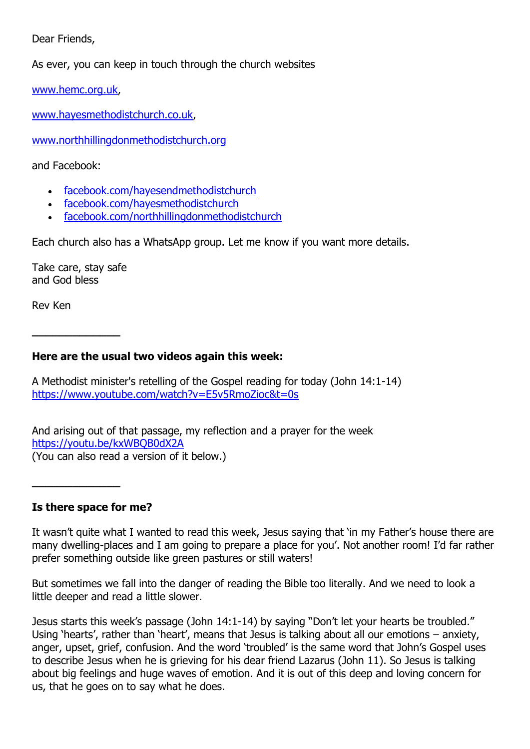Dear Friends,

As ever, you can keep in touch through the church websites

[www.hemc.org.uk,](http://www.hemc.org.uk/)

[www.hayesmethodistchurch.co.uk,](http://www.hayesmethodistchurch.co.uk/)

[www.northhillingdonmethodistchurch.org](http://www.northhillingdonmethodistchurch.org/)

and Facebook:

- [facebook.com/hayesendmethodistchurch](http://www.facebook.com/hayesendmethodistchurch)
- [facebook.com/hayesmethodistchurch](http://www.facebook.com/hayesmethodistchurch)
- [facebook.com/northhillingdonmethodistchurch](http://www.facebook.com/northhillingdonmethodistchurch)

Each church also has a WhatsApp group. Let me know if you want more details.

Take care, stay safe and God bless

**\_\_\_\_\_\_\_\_\_\_\_\_\_**

Rev Ken

#### **Here are the usual two videos again this week:**

A Methodist minister's retelling of the Gospel reading for today (John 14:1-14) <https://www.youtube.com/watch?v=E5v5RmoZioc&t=0s>

And arising out of that passage, my reflection and a prayer for the week <https://youtu.be/kxWBQB0dX2A> (You can also read a version of it below.)

**Is there space for me?**

**\_\_\_\_\_\_\_\_\_\_\_\_\_**

It wasn't quite what I wanted to read this week, Jesus saying that 'in my Father's house there are many dwelling-places and I am going to prepare a place for you'. Not another room! I'd far rather prefer something outside like green pastures or still waters!

But sometimes we fall into the danger of reading the Bible too literally. And we need to look a little deeper and read a little slower.

Jesus starts this week's passage (John 14:1-14) by saying "Don't let your hearts be troubled." Using 'hearts', rather than 'heart', means that Jesus is talking about all our emotions – anxiety, anger, upset, grief, confusion. And the word 'troubled' is the same word that John's Gospel uses to describe Jesus when he is grieving for his dear friend Lazarus (John 11). So Jesus is talking about big feelings and huge waves of emotion. And it is out of this deep and loving concern for us, that he goes on to say what he does.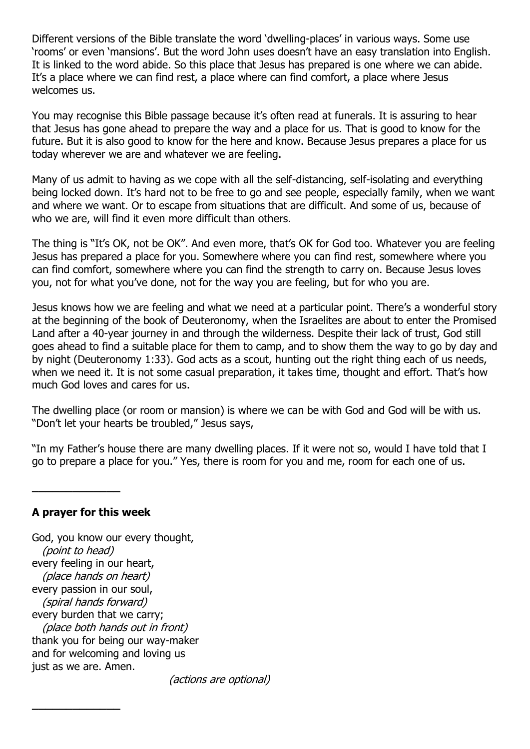Different versions of the Bible translate the word 'dwelling-places' in various ways. Some use 'rooms' or even 'mansions'. But the word John uses doesn't have an easy translation into English. It is linked to the word abide. So this place that Jesus has prepared is one where we can abide. It's a place where we can find rest, a place where can find comfort, a place where Jesus welcomes us.

You may recognise this Bible passage because it's often read at funerals. It is assuring to hear that Jesus has gone ahead to prepare the way and a place for us. That is good to know for the future. But it is also good to know for the here and know. Because Jesus prepares a place for us today wherever we are and whatever we are feeling.

Many of us admit to having as we cope with all the self-distancing, self-isolating and everything being locked down. It's hard not to be free to go and see people, especially family, when we want and where we want. Or to escape from situations that are difficult. And some of us, because of who we are, will find it even more difficult than others.

The thing is "It's OK, not be OK". And even more, that's OK for God too. Whatever you are feeling Jesus has prepared a place for you. Somewhere where you can find rest, somewhere where you can find comfort, somewhere where you can find the strength to carry on. Because Jesus loves you, not for what you've done, not for the way you are feeling, but for who you are.

Jesus knows how we are feeling and what we need at a particular point. There's a wonderful story at the beginning of the book of Deuteronomy, when the Israelites are about to enter the Promised Land after a 40-year journey in and through the wilderness. Despite their lack of trust, God still goes ahead to find a suitable place for them to camp, and to show them the way to go by day and by night (Deuteronomy 1:33). God acts as a scout, hunting out the right thing each of us needs, when we need it. It is not some casual preparation, it takes time, thought and effort. That's how much God loves and cares for us.

The dwelling place (or room or mansion) is where we can be with God and God will be with us. "Don't let your hearts be troubled," Jesus says,

"In my Father's house there are many dwelling places. If it were not so, would I have told that I go to prepare a place for you." Yes, there is room for you and me, room for each one of us.

#### **A prayer for this week**

**\_\_\_\_\_\_\_\_\_\_\_\_\_**

**\_\_\_\_\_\_\_\_\_\_\_\_\_**

God, you know our every thought, (point to head) every feeling in our heart, (place hands on heart) every passion in our soul, (spiral hands forward) every burden that we carry; (place both hands out in front) thank you for being our way-maker and for welcoming and loving us just as we are. Amen.

(actions are optional)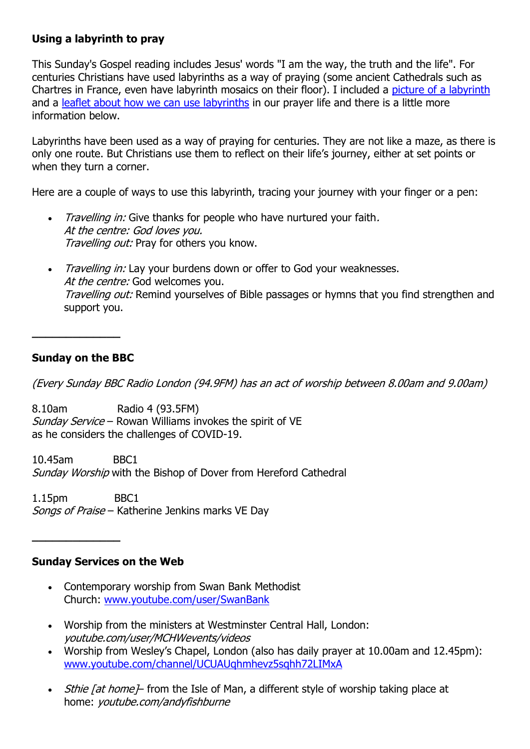## **Using a labyrinth to pray**

This Sunday's Gospel reading includes Jesus' words "I am the way, the truth and the life". For centuries Christians have used labyrinths as a way of praying (some ancient Cathedrals such as Chartres in France, even have labyrinth mosaics on their floor). I included a [picture of a labyrinth](http://hemc.org.uk/thoughts/labyrinth.pdf) and a [leaflet about how we can use labyrinths](http://hemc.org.uk/thoughts/Finger_Labyrinth_Guide.pdf) in our prayer life and there is a little more information below.

Labyrinths have been used as a way of praying for centuries. They are not like a maze, as there is only one route. But Christians use them to reflect on their life's journey, either at set points or when they turn a corner.

Here are a couple of ways to use this labyrinth, tracing your journey with your finger or a pen:

- Travelling in: Give thanks for people who have nurtured your faith. At the centre: God loves you. Travelling out: Pray for others you know.
- Travelling in: Lay your burdens down or offer to God your weaknesses. At the centre: God welcomes you. Travelling out: Remind yourselves of Bible passages or hymns that you find strengthen and support you.

### **Sunday on the BBC**

**\_\_\_\_\_\_\_\_\_\_\_\_\_**

(Every Sunday BBC Radio London (94.9FM) has an act of worship between 8.00am and 9.00am)

8.10am Radio 4 (93.5FM) Sunday Service – Rowan Williams invokes the spirit of VE as he considers the challenges of COVID-19.

10.45am BBC1 Sunday Worship with the Bishop of Dover from Hereford Cathedral

1.15pm BBC1 Songs of Praise - Katherine Jenkins marks VE Day

#### **Sunday Services on the Web**

**\_\_\_\_\_\_\_\_\_\_\_\_\_**

- Contemporary worship from Swan Bank Methodist Church: [www.youtube.com/user/SwanBank](http://www.youtube.com/user/SwanBank)
- Worship from the ministers at Westminster Central Hall, London: youtube.com/user/MCHWevents/videos
- Worship from Wesley's Chapel, London (also has daily prayer at 10.00am and 12.45pm): [www.youtube.com/channel/UCUAUqhmhevz5sqhh72LIMxA](http://www.youtube.com/channel/UCUAUqhmhevz5sqhh72LIMxA)
- Sthie [at home] from the Isle of Man, a different style of worship taking place at home: youtube.com/andyfishburne